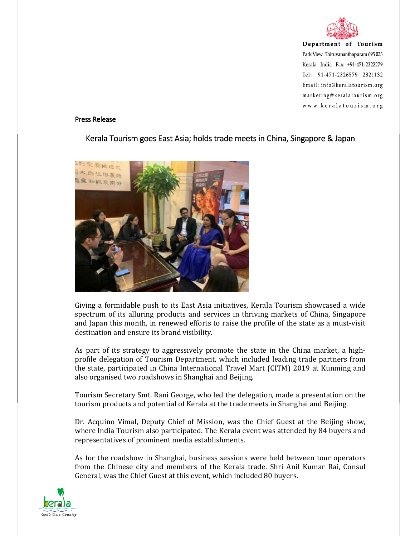

Department of Tourism Park View Thiruvananthapuram 695 033 Kerala India Fax: +91-471-2322279 Tel: +91-471-2326579 2321132 Email: info@keralatourism.org marketing@keralatourism.org www.keralatourism.org

## Press Release

## Kerala Tourism goes East Asia; holds trade meets in China, Singapore & Japan



Giving a formidable push to its East Asia initiatives, Kerala Tourism showcased a wide spectrum of its alluring products and services in thriving markets of China, Singapore and Japan this month, in renewed efforts to raise the profile of the state as a must-visit destination and ensure its brand visibility.

As part of its strategy to aggressively promote the state in the China market, a highprofile delegation of Tourism Department, which included leading trade partners from the state, participated in China International Travel Mart (CITM) 2019 at Kunming and also organised two roadshows in Shanghai and Beijing.

Tourism Secretary Smt. Rani George, who led the delegation, made a presentation on the tourism products and potential of Kerala at the trade meets in Shanghai and Beijing.

Dr. Acquino Vimal, Deputy Chief of Mission, was the Chief Guest at the Beijing show, where India Tourism also participated. The Kerala event was attended by 84 buyers and representatives of prominent media establishments.

As for the roadshow in Shanghai, business sessions were held between tour operators from the Chinese city and members of the Kerala trade. Shri Anil Kumar Rai, Consul General, was the Chief Guest at this event, which included 80 buyers.

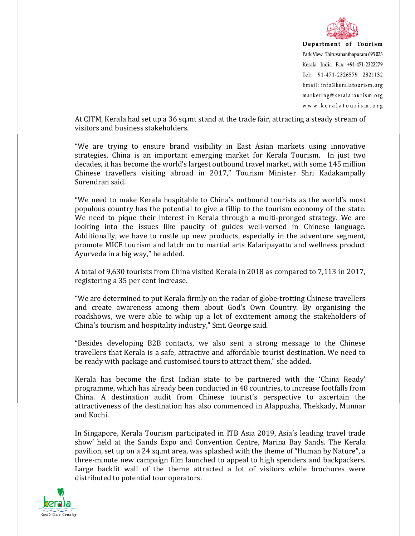

Department of Tourism Park View Thiruvananthapuram 695 033 Kerala India Fax: +91-471-2322279 Tel: +91-471-2326579 2321132 Email: info@keralatourism.org marketing@keralatourism.org www.keralatourism.org

At CITM, Kerala had set up a 36 sq.mt stand at the trade fair, attracting a steady stream of visitors and business stakeholders.

"We are trying to ensure brand visibility in East Asian markets using innovative strategies. China is an important emerging market for Kerala Tourism. In just two decades, it has become the world's largest outbound travel market, with some 145 million Chinese travellers visiting abroad in 2017," Tourism Minister Shri Kadakampally Surendran said.

"We need to make Kerala hospitable to China's outbound tourists as the world's most populous country has the potential to give a fillip to the tourism economy of the state. We need to pique their interest in Kerala through a multi-pronged strategy. We are looking into the issues like paucity of guides well-versed in Chinese language. Additionally, we have to rustle up new products, especially in the adventure segment, promote MICE tourism and latch on to martial arts Kalaripayattu and wellness product Ayurveda in a big way," he added.

A total of 9,630 tourists from China visited Kerala in 2018 as compared to 7,113 in 2017, registering a 35 per cent increase.

"We are determined to put Kerala firmly on the radar of globe-trotting Chinese travellers and create awareness among them about God's Own Country. By organising the roadshows, we were able to whip up a lot of excitement among the stakeholders of China's tourism and hospitality industry," Smt. George said.

"Besides developing B2B contacts, we also sent a strong message to the Chinese travellers that Kerala is a safe, attractive and affordable tourist destination. We need to be ready with package and customised tours to attract them," she added.

Kerala has become the first Indian state to be partnered with the 'China Ready' programme, which has already been conducted in 48 countries, to increase footfalls from China. A destination audit from Chinese tourist's perspective to ascertain the attractiveness of the destination has also commenced in Alappuzha, Thekkady, Munnar and Kochi.

In Singapore, Kerala Tourism participated in ITB Asia 2019, Asia's leading travel trade show' held at the Sands Expo and Convention Centre, Marina Bay Sands. The Kerala pavilion, set up on a 24 sq.mt area, was splashed with the theme of "Human by Nature", a three-minute new campaign film launched to appeal to high spenders and backpackers. Large backlit wall of the theme attracted a lot of visitors while brochures were distributed to potential tour operators.